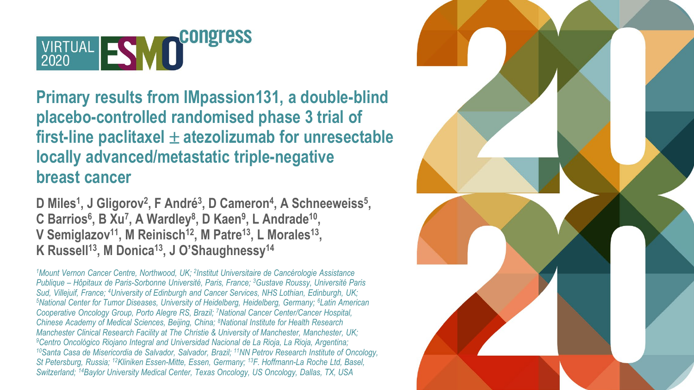

**Primary results from IMpassion131, a double-blind placebo-controlled randomised phase 3 trial of first-line paclitaxel** ± **atezolizumab for unresectable locally advanced/metastatic triple-negative breast cancer**

**D Miles1, J Gligorov2, F André3, D Cameron4, A Schneeweiss5, C Barrios6, B Xu7, A Wardley8, D Kaen9, L Andrade10,**  V Semiglazov<sup>11</sup>, M Reinisch<sup>12</sup>, M Patre<sup>13</sup>, L Morales<sup>13</sup>, K Russell<sup>13</sup>, M Donica<sup>13</sup>, J O'Shaughnessy<sup>14</sup>

*1Mount Vernon Cancer Centre, Northwood, UK; 2Institut Universitaire de Cancérologie Assistance Publique – Hôpitaux de Paris-Sorbonne Université, Paris, France; 3Gustave Roussy, Université Paris Sud, Villejuif, France; 4University of Edinburgh and Cancer Services, NHS Lothian, Edinburgh, UK; 5National Center for Tumor Diseases, University of Heidelberg, Heidelberg, Germany; 6Latin American Cooperative Oncology Group, Porto Alegre RS, Brazil; 7National Cancer Center/Cancer Hospital, Chinese Academy of Medical Sciences, Beijing, China; 8National Institute for Health Research Manchester Clinical Research Facility at The Christie & University of Manchester, Manchester, UK;*  <sup>10</sup> Santa Casa de Misericordia de Salvador, Salvador, Brazil; <sup>11</sup>NN Petrov Research Institute of Oncology, *St Petersburg, Russia; 12Kliniken Essen-Mitte, Essen, Germany; 13F. Hoffmann-La Roche Ltd, Basel, Switzerland; 14Baylor University Medical Center, Texas Oncology, US Oncology, Dallas, TX, USA*

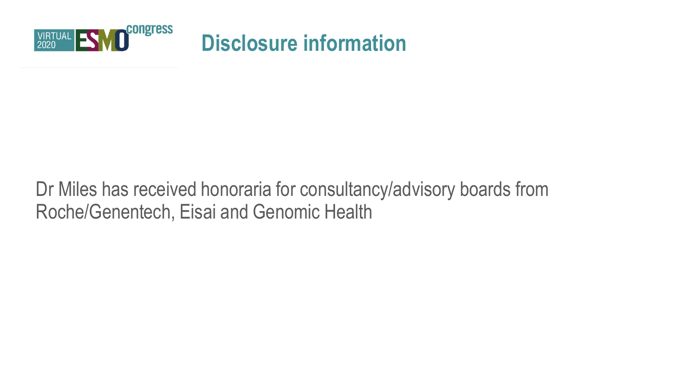

### **Disclosure information**

### Dr Miles has received honoraria for consultancy/advisory boards from Roche/Genentech, Eisai and Genomic Health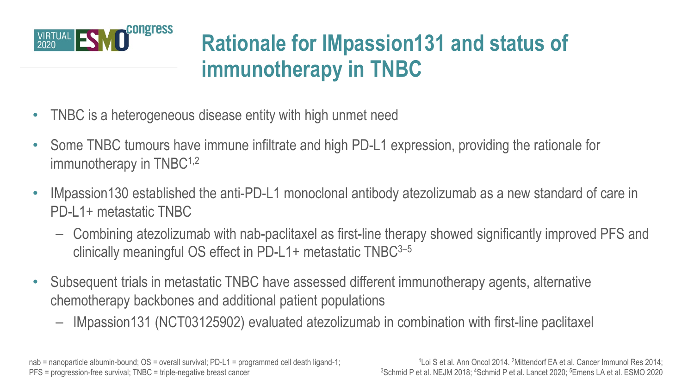

### **Rationale for IMpassion131 and status of immunotherapy in TNBC**

- TNBC is a heterogeneous disease entity with high unmet need
- Some TNBC tumours have immune infiltrate and high PD-L1 expression, providing the rationale for immunotherapy in TNBC<sup>1,2</sup>
- IMpassion130 established the anti-PD-L1 monoclonal antibody atezolizumab as a new standard of care in PD-L1+ metastatic TNBC
	- Combining atezolizumab with nab-paclitaxel as first-line therapy showed significantly improved PFS and clinically meaningful OS effect in PD-L1+ metastatic TNBC3–5
- Subsequent trials in metastatic TNBC have assessed different immunotherapy agents, alternative chemotherapy backbones and additional patient populations
	- IMpassion131 (NCT03125902) evaluated atezolizumab in combination with first-line paclitaxel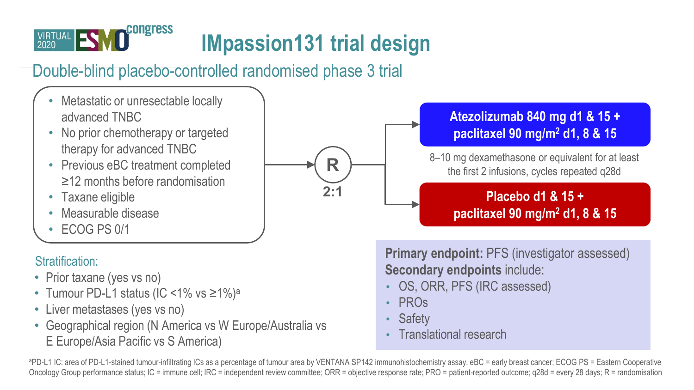

# **IMpassion131 trial design**

**2:1 R**

### Double-blind placebo-controlled randomised phase 3 trial

- Metastatic or unresectable locally advanced TNBC
- No prior chemotherapy or targeted therapy for advanced TNBC
- Previous eBC treatment completed ≥12 months before randomisation
- Taxane eligible
- Measurable disease
- ECOG PS 0/1

#### Stratification:

- Prior taxane (yes vs no)
- Tumour PD-L1 status (IC <1% vs ≥1%)<sup>a</sup>
- Liver metastases (yes vs no)
- Geographical region (N America vs W Europe/Australia vs E Europe/Asia Pacific vs S America)

### **Atezolizumab 840 mg d1 & 15 + paclitaxel 90 mg/m2 d1, 8 & 15**

8–10 mg dexamethasone or equivalent for at least the first 2 infusions, cycles repeated q28d

#### **Placebo d1 & 15 + paclitaxel 90 mg/m2 d1, 8 & 15**

**Primary endpoint: PFS (investigator assessed) Secondary endpoints** include:

- OS, ORR, PFS (IRC assessed)
- PROs
- **Safety**
- Translational research

aPD-L1 IC: area of PD-L1-stained tumour-infiltrating ICs as a percentage of tumour area by VENTANA SP142 immunohistochemistry assay. eBC = early breast cancer; ECOG PS = Eastern Cooperative Oncology Group performance status; IC = immune cell; IRC = independent review committee; ORR = objective response rate; PRO = patient-reported outcome; q28d = every 28 days; R = randomisation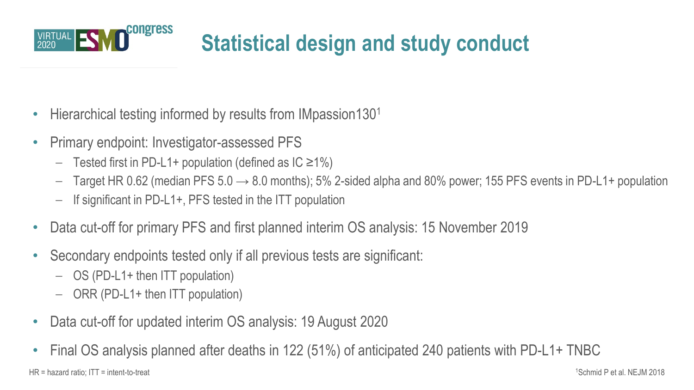

# **Statistical design and study conduct**

- Hierarchical testing informed by results from IMpassion130<sup>1</sup>
- Primary endpoint: Investigator-assessed PFS
	- Tested first in PD-L1+ population (defined as IC ≥1%)
	- $-$  Target HR 0.62 (median PFS 5.0  $\rightarrow$  8.0 months); 5% 2-sided alpha and 80% power; 155 PFS events in PD-L1+ population
	- If significant in PD-L1+, PFS tested in the ITT population
- Data cut-off for primary PFS and first planned interim OS analysis: 15 November 2019
- Secondary endpoints tested only if all previous tests are significant:
	- OS (PD-L1+ then ITT population)
	- ORR (PD-L1+ then ITT population)
- Data cut-off for updated interim OS analysis: 19 August 2020
- Final OS analysis planned after deaths in 122 (51%) of anticipated 240 patients with PD-L1+ TNBC

1 HR = hazard ratio: ITT = intent-to-treat Schmid P et al. NEJM 2018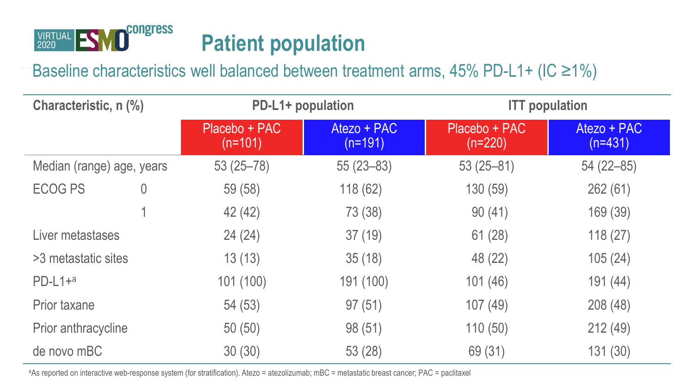

### Baseline characteristics well balanced between treatment arms,  $45\%$  PD-L1+ (IC  $\geq$ 1%)

| Characteristic, n (%)     |   | PD-L1+ population          |                          | <b>ITT</b> population      |                          |  |
|---------------------------|---|----------------------------|--------------------------|----------------------------|--------------------------|--|
|                           |   | Placebo + PAC<br>$(n=101)$ | Atezo + PAC<br>$(n=191)$ | Placebo + PAC<br>$(n=220)$ | Atezo + PAC<br>$(n=431)$ |  |
| Median (range) age, years |   | $53(25 - 78)$              | $55(23 - 83)$            | $53(25 - 81)$              | 54 (22-85)               |  |
| <b>ECOG PS</b>            | 0 | 59 (58)                    | 118 (62)                 | 130 (59)                   | 262(61)                  |  |
|                           |   | 42 (42)                    | 73 (38)                  | 90(41)                     | 169 (39)                 |  |
| Liver metastases          |   | 24 (24)                    | 37(19)                   | 61(28)                     | 118(27)                  |  |
| >3 metastatic sites       |   | 13(13)                     | 35(18)                   | 48 (22)                    | 105(24)                  |  |
| $PD-L1+a$                 |   | 101 (100)                  | 191 (100)                | 101 (46)                   | 191 (44)                 |  |
| Prior taxane              |   | 54 (53)                    | 97(51)                   | 107(49)                    | 208 (48)                 |  |
| Prior anthracycline       |   | 50(50)                     | 98 (51)                  | 110(50)                    | 212(49)                  |  |
| de novo mBC               |   | 30(30)                     | 53 (28)                  | 69 (31)                    | 131 (30)                 |  |

aAs reported on interactive web-response system (for stratification). Atezo = atezolizumab; mBC = metastatic breast cancer; PAC = paclitaxel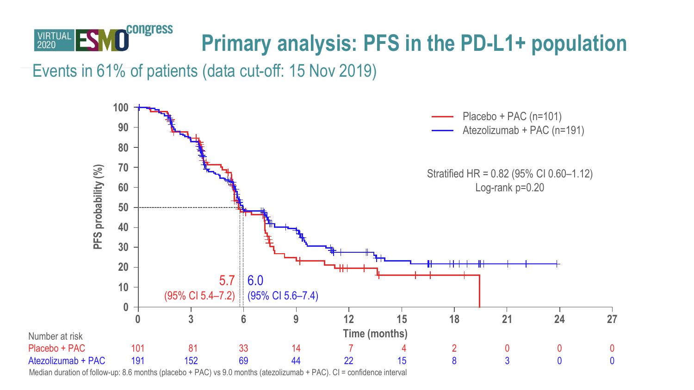

Events in 61% of patients (data cut-off: 15 Nov 2019)



Median duration of follow-up: 8.6 months (placebo + PAC) vs 9.0 months (atezolizumab + PAC). CI = confidence interval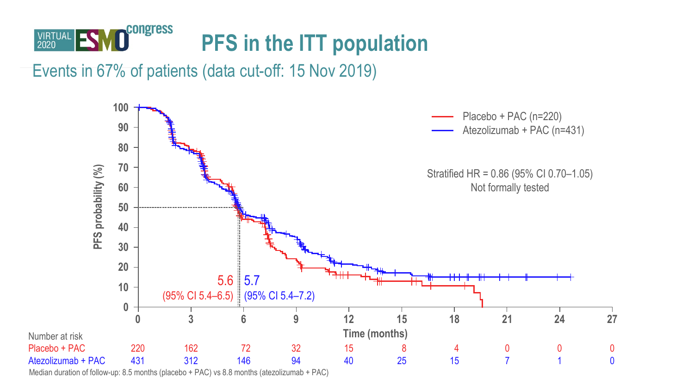

Events in 67% of patients (data cut-off: 15 Nov 2019)



Median duration of follow-up: 8.5 months (placebo + PAC) vs 8.8 months (atezolizumab + PAC)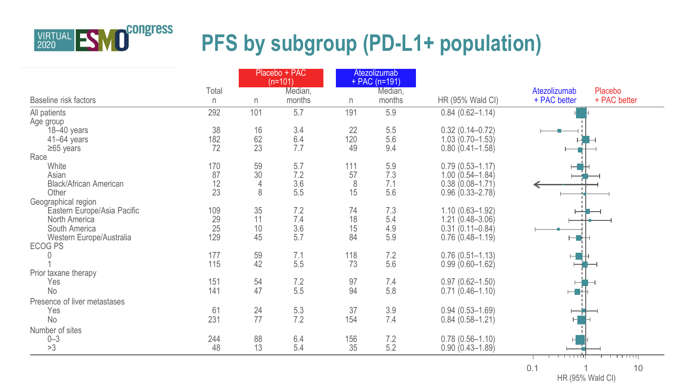

|                              |           |          | Placebo + PAC<br>$(n=101)$ |           | Atezolizumab<br>$+$ PAC (n=191) |                                            |              |              |
|------------------------------|-----------|----------|----------------------------|-----------|---------------------------------|--------------------------------------------|--------------|--------------|
|                              | Total     |          | Median,                    |           | Median,                         |                                            | Atezolizumab | Placebo      |
| Baseline risk factors        | n         | n        | months                     | n         | months                          | HR (95% Wald CI)                           | + PAC better | + PAC better |
| All patients                 | 292       | 101      | 5.7                        | 191       | 5.9                             | $0.84(0.62 - 1.14)$                        |              |              |
| Age group                    |           |          |                            |           |                                 |                                            |              |              |
| 18-40 years                  | 38        | 16       | 3.4                        | 22        | 5.5                             | $0.32(0.14 - 0.72)$                        |              |              |
| $41-64$ years                | 182       | 62       | 6.4                        | 120       | 5.6                             | $1.03(0.70 - 1.53)$                        |              |              |
| $≥65$ years                  | 72        | 23       | 7.7                        | 49        | 9.4                             | $0.80(0.41 - 1.58)$                        |              |              |
| Race                         |           |          |                            |           |                                 |                                            |              |              |
| White<br>Asian               | 170<br>87 | 59<br>30 | 5.7<br>7.2                 | 111<br>57 | 5.9<br>7.3                      | $0.79(0.53 - 1.17)$                        |              |              |
| Black/African American       | 12        |          | 3.6                        | 8         | 7.1                             | $1.00(0.54 - 1.84)$<br>$0.38(0.08 - 1.71)$ |              |              |
| Other                        | 23        | 8        | 5.5                        | 15        | 5.6                             | $0.96(0.33 - 2.78)$                        |              |              |
| Geographical region          |           |          |                            |           |                                 |                                            |              |              |
| Eastern Europe/Asia Pacific  | 109       | 35       | 7.2                        | 74        | 7.3                             | $1.10(0.63 - 1.92)$                        |              |              |
| North America                | 29        | 11       | 7.4                        | 18        | 5.4                             | $1.21(0.48 - 3.06)$                        |              |              |
| South America                | 25        | 10       | 3.6                        | 15        | 4.9                             | $0.31(0.11 - 0.84)$                        |              |              |
| Western Europe/Australia     | 129       | 45       | 5.7                        | 84        | 5.9                             | $0.76(0.48 - 1.19)$                        |              |              |
| <b>ECOG PS</b>               |           |          |                            |           |                                 |                                            |              |              |
|                              | 177       | 59       | 7.1                        | 118       | 7.2                             | $0.76(0.51 - 1.13)$                        |              |              |
|                              | 115       | 42       | 5.5                        | 73        | 5.6                             | $0.99(0.60 - 1.62)$                        |              |              |
| Prior taxane therapy         |           |          |                            |           |                                 |                                            |              |              |
| Yes                          | 151       | 54       | 7.2                        | 97        | 7.4                             | $0.97(0.62 - 1.50)$                        |              |              |
| No                           | 141       | 47       | 5.5                        | 94        | 5.8                             | $0.71(0.46 - 1.10)$                        | н            |              |
| Presence of liver metastases |           |          |                            |           |                                 |                                            |              |              |
| Yes                          | 61        | 24       | 5.3                        | 37        | 3.9                             | $0.94(0.53 - 1.69)$                        |              |              |
| <b>No</b>                    | 231       | 77       | 7.2                        | 154       | 7.4                             | $0.84(0.58 - 1.21)$                        |              |              |
| Number of sites              |           |          |                            |           |                                 |                                            |              |              |
| $0 - 3$                      | 244       | 88       | 6.4                        | 156       | 7.2                             | $0.78(0.56 - 1.10)$                        |              |              |
| >3                           | 48        | 13       | 5.4                        | 35        | 5.2                             | $0.90(0.43 - 1.89)$                        |              |              |
|                              |           |          |                            |           |                                 |                                            | <del>.</del> | <del>.</del> |

0.1 1 1 10<br>HR (95% Wald CI)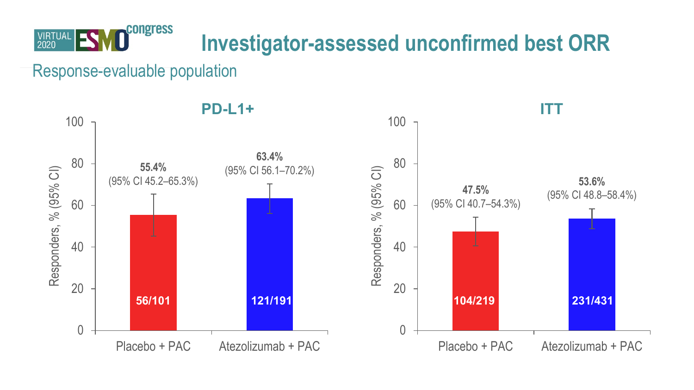

### **Investigator-assessed unconfirmed best ORR**

Response-evaluable population

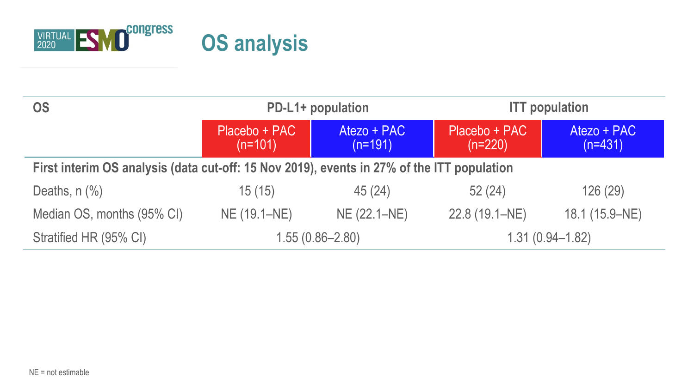

| <b>OS</b>                                                                                  |                                                        | PD-L1+ population | <b>ITT</b> population      |                          |  |  |
|--------------------------------------------------------------------------------------------|--------------------------------------------------------|-------------------|----------------------------|--------------------------|--|--|
|                                                                                            | Atezo + PAC<br>Placebo + PAC<br>$(n=191)$<br>$(n=101)$ |                   | Placebo + PAC<br>$(n=220)$ | Atezo + PAC<br>$(n=431)$ |  |  |
| First interim OS analysis (data cut-off: 15 Nov 2019), events in 27% of the ITT population |                                                        |                   |                            |                          |  |  |
| Deaths, $n$ $%$                                                                            | 15(15)                                                 | 45(24)            | 52(24)                     | 126 (29)                 |  |  |
| Median OS, months (95% CI)                                                                 | NE (19.1–NE)                                           | NE (22.1-NE)      | 22.8 (19.1-NE)             | 18.1 (15.9–NE)           |  |  |
| Stratified HR (95% CI)                                                                     | $1.55(0.86 - 2.80)$                                    |                   | $1.31(0.94 - 1.82)$        |                          |  |  |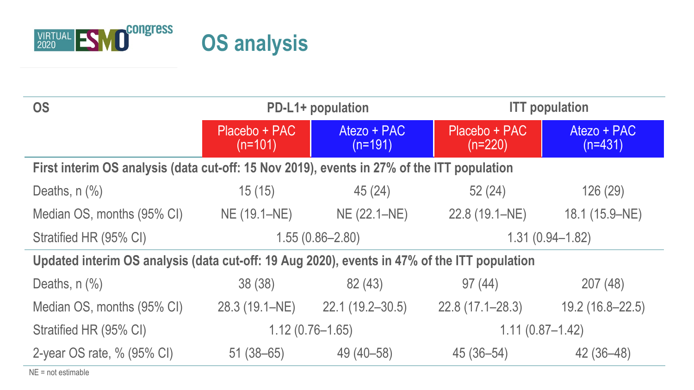

| <b>OS</b>                                                                                    | PD-L1+ population            |                          | <b>ITT</b> population      |                          |  |  |
|----------------------------------------------------------------------------------------------|------------------------------|--------------------------|----------------------------|--------------------------|--|--|
|                                                                                              | Placebo + PAC<br>$(n=101)$   | Atezo + PAC<br>$(n=191)$ | Placebo + PAC<br>$(n=220)$ | Atezo + PAC<br>$(n=431)$ |  |  |
| First interim OS analysis (data cut-off: 15 Nov 2019), events in 27% of the ITT population   |                              |                          |                            |                          |  |  |
| Deaths, $n$ $%$                                                                              | 15(15)                       | 45(24)                   | 52(24)                     | 126 (29)                 |  |  |
| Median OS, months (95% CI)                                                                   | NE (19.1-NE)<br>NE (22.1–NE) |                          | 22.8 (19.1–NE)             | 18.1 (15.9–NE)           |  |  |
| Stratified HR (95% CI)                                                                       |                              | $1.55(0.86 - 2.80)$      | $1.31(0.94 - 1.82)$        |                          |  |  |
| Updated interim OS analysis (data cut-off: 19 Aug 2020), events in 47% of the ITT population |                              |                          |                            |                          |  |  |
| Deaths, $n$ $%$                                                                              | 38(38)                       | 82 (43)                  | 97(44)                     | 207(48)                  |  |  |
| Median OS, months (95% CI)                                                                   | 28.3 (19.1–NE)               | 22.1 (19.2-30.5)         | $22.8(17.1 - 28.3)$        | 19.2 (16.8-22.5)         |  |  |
| Stratified HR (95% CI)                                                                       | $1.12(0.76 - 1.65)$          |                          | $1.11(0.87 - 1.42)$        |                          |  |  |
| 2-year OS rate, % (95% CI)                                                                   | $51(38 - 65)$                | 49 (40 - 58)             | 45 (36-54)                 | 42 (36-48)               |  |  |

NE = not estimable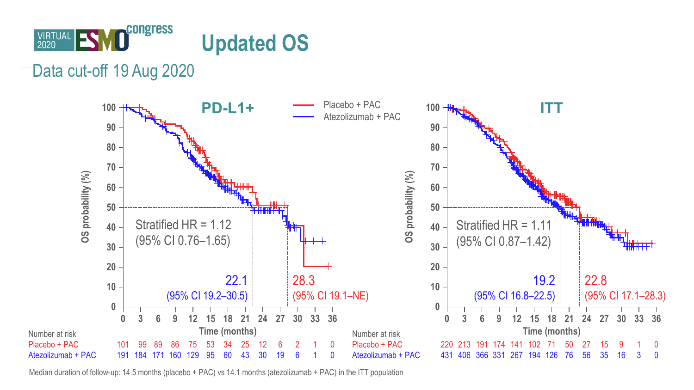

Data cut-off 19 Aug 2020



Median duration of follow-up: 14.5 months (placebo + PAC) vs 14.1 months (atezolizumab + PAC) in the ITT population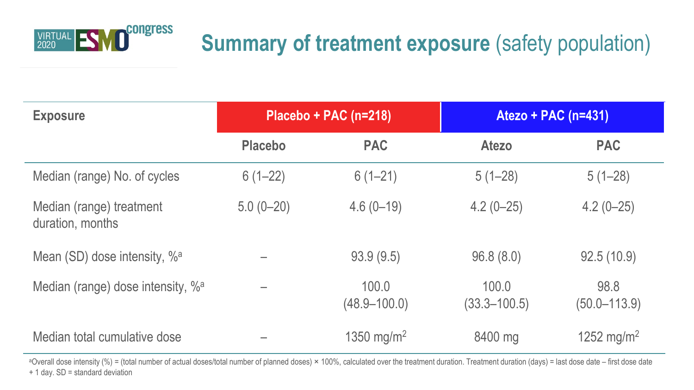

### **Summary of treatment exposure (safety population)**

| <b>Exposure</b>                               |                | Placebo + PAC (n=218)     | Atezo + PAC (n=431)       |                          |  |
|-----------------------------------------------|----------------|---------------------------|---------------------------|--------------------------|--|
|                                               | <b>Placebo</b> | <b>PAC</b>                | Atezo                     | <b>PAC</b>               |  |
| Median (range) No. of cycles                  | $6(1-22)$      | $6(1-21)$                 | $5(1-28)$                 | $5(1-28)$                |  |
| Median (range) treatment<br>duration, months  | $5.0(0-20)$    | $4.6(0-19)$               | $4.2(0-25)$               | $4.2(0-25)$              |  |
| Mean (SD) dose intensity, % <sup>a</sup>      |                | 93.9(9.5)                 | 96.8(8.0)                 | 92.5(10.9)               |  |
| Median (range) dose intensity, % <sup>a</sup> |                | 100.0<br>$(48.9 - 100.0)$ | 100.0<br>$(33.3 - 100.5)$ | 98.8<br>$(50.0 - 113.9)$ |  |
| Median total cumulative dose                  |                | 1350 mg/m <sup>2</sup>    | 8400 mg                   | 1252 mg/m <sup>2</sup>   |  |

<sup>a</sup>Overall dose intensity (%) = (total number of actual doses/total number of planned doses) × 100%, calculated over the treatment duration. Treatment duration (days) = last dose date – first dose date + 1 day. SD = standard deviation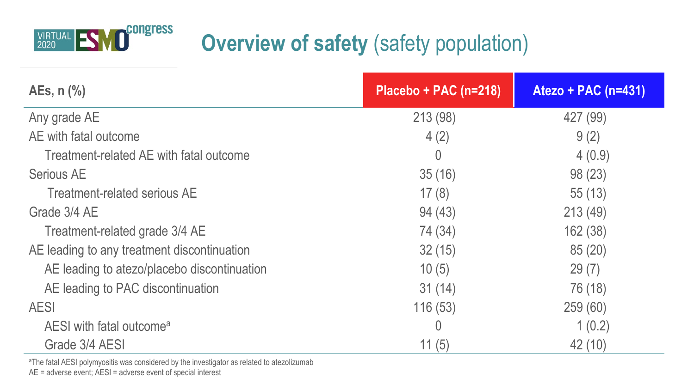

# **Overview of safety** (safety population)

| AEs, $n$ $%$                                | Placebo + PAC (n=218) | Atezo + PAC (n=431) |  |
|---------------------------------------------|-----------------------|---------------------|--|
| Any grade AE                                | 213 (98)              | 427 (99)            |  |
| AE with fatal outcome                       | 4(2)                  | 9(2)                |  |
| Treatment-related AE with fatal outcome     | 0                     | 4(0.9)              |  |
| Serious AE                                  | 35(16)                | 98 (23)             |  |
| Treatment-related serious AE                | 17(8)                 | 55(13)              |  |
| Grade 3/4 AE                                | 94 (43)               | 213(49)             |  |
| Treatment-related grade 3/4 AE              | 74 (34)               | 162 (38)            |  |
| AE leading to any treatment discontinuation | 32(15)                | 85(20)              |  |
| AE leading to atezo/placebo discontinuation | 10(5)                 | 29(7)               |  |
| AE leading to PAC discontinuation           | 31(14)                | 76 (18)             |  |
| AESI                                        | 116(53)               | 259 (60)            |  |
| AESI with fatal outcome <sup>a</sup>        | 0                     | 1(0.2)              |  |
| Grade 3/4 AESI                              | 11(5)                 | 42 (10)             |  |

aThe fatal AESI polymyositis was considered by the investigator as related to atezolizumab

AE = adverse event; AESI = adverse event of special interest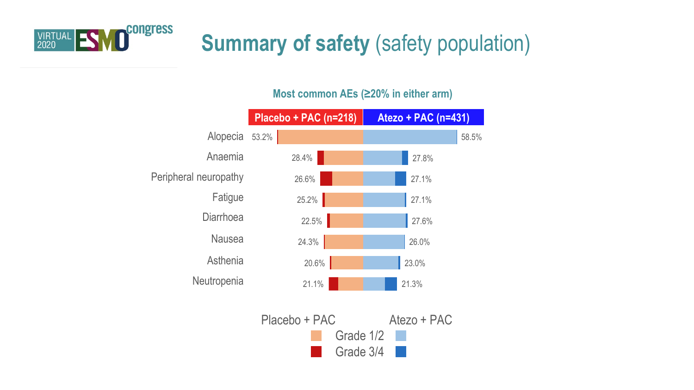

# **Summary of safety (safety population)**

#### Neutropenia **Placebo + PAC (n=218) Atezo + PAC (n=431)** Alopecia 53.2% Anaemia Peripheral neuropathy Fatigue Diarrhoea Nausea Asthenia **Neutropenia** 28.4% 26.6% 25.2% 22.5% 24.3% 20.6% 58.5% 27.8% 27.1% 27.1% 27.6% 26.0% 23.0% 21.1% 21.3%

#### **Most common AEs (≥20% in either arm)**

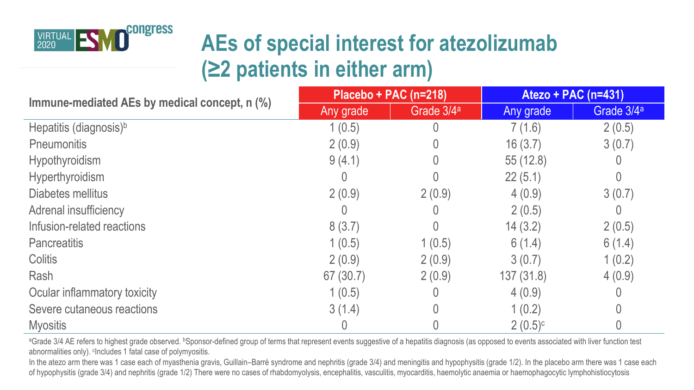

## **AEs of special interest for atezolizumab (≥2 patients in either arm)**

| Immune-mediated AEs by medical concept, n (%) | $Placebo + PAC (n=218)$ |                        | Atezo + PAC (n=431)   |                        |
|-----------------------------------------------|-------------------------|------------------------|-----------------------|------------------------|
|                                               | Any grade               | Grade 3/4 <sup>a</sup> | Any grade             | Grade 3/4 <sup>a</sup> |
| Hepatitis (diagnosis) <sup>b</sup>            | 1(0.5)                  |                        | 7(1.6)                | 2(0.5)                 |
| Pneumonitis                                   | 2(0.9)                  |                        | 16(3.7)               | 3(0.7)                 |
| Hypothyroidism                                | 9(4.1)                  |                        | 55(12.8)              |                        |
| Hyperthyroidism                               |                         |                        | 22(5.1)               |                        |
| Diabetes mellitus                             | 2(0.9)                  | 2(0.9)                 | 4(0.9)                | 3(0.7)                 |
| Adrenal insufficiency                         |                         |                        | 2(0.5)                |                        |
| Infusion-related reactions                    | 8(3.7)                  |                        | 14(3.2)               | 2(0.5)                 |
| Pancreatitis                                  | 1(0.5)                  | 1(0.5)                 | 6(1.4)                | 6(1.4)                 |
| Colitis                                       | 2(0.9)                  | 2(0.9)                 | 3(0.7)                | 1(0.2)                 |
| Rash                                          | 67(30.7)                | 2(0.9)                 | 137 (31.8)            | 4(0.9)                 |
| Ocular inflammatory toxicity                  | 1(0.5)                  |                        | 4(0.9)                |                        |
| Severe cutaneous reactions                    | 3(1.4)                  |                        | 1(0.2)                |                        |
| <b>Myositis</b>                               |                         |                        | $2(0.5)$ <sup>c</sup> |                        |

<sup>a</sup>Grade 3/4 AE refers to highest grade observed. <sup>b</sup>Sponsor-defined group of terms that represent events suggestive of a hepatitis diagnosis (as opposed to events associated with liver function test abnormalities only). <sup>c</sup>Includes 1 fatal case of polymyositis.

In the atezo arm there was 1 case each of myasthenia gravis, Guillain–Barré syndrome and nephritis (grade 3/4) and meningitis and hypophysitis (grade 1/2). In the placebo arm there was 1 case each of hypophysitis (grade 3/4) and nephritis (grade 1/2) There were no cases of rhabdomyolysis, encephalitis, vasculitis, myocarditis, haemolytic anaemia or haemophagocytic lymphohistiocytosis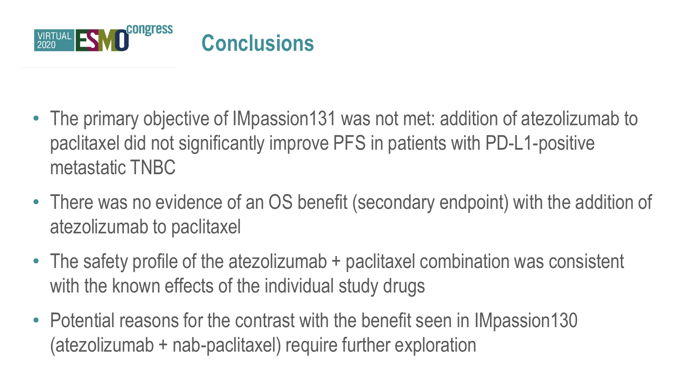

- The primary objective of IMpassion131 was not met: addition of atezolizumab to paclitaxel did not significantly improve PFS in patients with PD-L1-positive metastatic TNBC
- There was no evidence of an OS benefit (secondary endpoint) with the addition of atezolizumab to paclitaxel
- The safety profile of the atezolizumab + paclitaxel combination was consistent with the known effects of the individual study drugs
- Potential reasons for the contrast with the benefit seen in IMpassion130 (atezolizumab + nab-paclitaxel) require further exploration